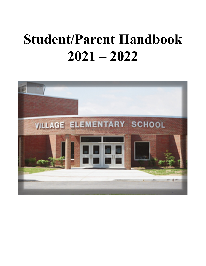# **Student/Parent Handbook 2021 – 2022**

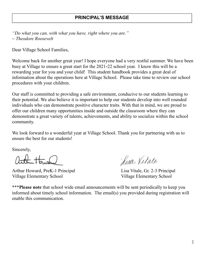# **PRINCIPAL'S MESSAGE**

*"Do what you can, with what you have, right where you are." ~ Theodore Roosevelt*

Dear Village School Families,

Welcome back for another great year! I hope everyone had a very restful summer. We have been busy at Village to ensure a great start for the 2021-22 school year. I know this will be a rewarding year for you and your child! This student handbook provides a great deal of information about the operations here at Village School. Please take time to review our school procedures with your children.

Our staff is committed to providing a safe environment, conducive to our students learning to their potential. We also believe it is important to help our students develop into well rounded individuals who can demonstrate positive character traits. With that in mind, we are proud to offer our children many opportunities inside and outside the classroom where they can demonstrate a great variety of talents, achievements, and ability to socialize within the school community.

We look forward to a wonderful year at Village School. Thank you for partnering with us to ensure the best for our students!

Sincerely,

Arthur Howard, PreK-1 Principal Lisa Vitale, Gr. 2-3 Principal Village Elementary School Village Elementary School

Lisa Vitale

\*\*\***Please note** that school wide email announcements will be sent periodically to keep you informed about timely school information. The email(s) you provided during registration will enable this communication.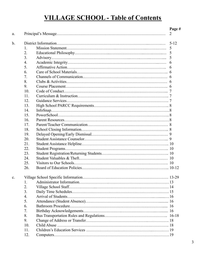# **VILLAGE SCHOOL - Table of Contents**

| a. |                  | Page #<br>2 |
|----|------------------|-------------|
|    |                  |             |
| b. |                  | $5 - 12$    |
|    | 1.               | 5           |
|    | 2.               | 5           |
|    | 3.               | 5           |
|    | 4.               | 6           |
|    | 5.               | 6           |
|    | 6.               |             |
|    | 7.               |             |
|    | 8.               |             |
|    | 9.               |             |
|    | 10.              |             |
|    | 11.              |             |
|    | 12.              |             |
|    | 13.              |             |
|    | 14.              |             |
|    | 15.              |             |
|    | 16.              |             |
|    | 17.              |             |
|    | 18.              |             |
|    | 19.              |             |
|    | 20.              |             |
|    | 21.              |             |
|    | 22.              |             |
|    | 23.              |             |
|    | 24.              |             |
|    | 25.              |             |
|    | 26.              |             |
| c. |                  |             |
|    | 1.               |             |
|    | 2.               |             |
|    | 3.               |             |
|    | $\overline{4}$ . |             |
|    | 5.               |             |
|    | 6.               |             |
|    | 7.               |             |
|    | 8.               |             |
|    | 9.               |             |
|    | 10.              |             |
|    | 11.              |             |
|    |                  |             |
|    | 12.              |             |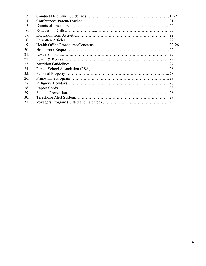| 13. |    |
|-----|----|
| 14  |    |
| 15. |    |
| 16. | 22 |
| 17. |    |
| 18. |    |
| 19. |    |
| 20. |    |
| 21. |    |
| 22. |    |
| 23. |    |
| 24. |    |
| 25. |    |
| 26. |    |
| 27. |    |
| 28. |    |
| 29. |    |
| 30. | 29 |
| 31. | 29 |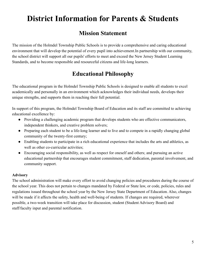# **District Information for Parents & Students**

# **Mission Statement**

The mission of the Holmdel Township Public Schools is to provide a comprehensive and caring educational environment that will develop the potential of every pupil into achievement.In partnership with our community, the school district will support all our pupils' efforts to meet and exceed the New Jersey Student Learning Standards, and to become responsible and resourceful citizens and life-long learners.

# **Educational Philosophy**

The educational program in the Holmdel Township Public Schools is designed to enable all students to excel academically and personally in an environment which acknowledges their individual needs, develops their unique strengths, and supports them in reaching their full potential.

In support of this program, the Holmdel Township Board of Education and its staff are committed to achieving educational excellence by:

- Providing a challenging academic program that develops students who are effective communicators, independent thinkers, and creative problem solvers;
- Preparing each student to be a life-long learner and to live and to compete in a rapidly changing global community of the twenty-first century;
- Enabling students to participate in a rich educational experience that includes the arts and athletics, as well as other co-curricular activities;
- Encouraging social responsibility, as well as respect for oneself and others; and pursuing an active educational partnership that encourages student commitment, staff dedication, parental involvement, and community support.

#### **Advisory**

The school administration will make every effort to avoid changing policies and procedures during the course of the school year. This does not pertain to changes mandated by Federal or State law, or code, policies, rules and regulations issued throughout the school year by the New Jersey State Department of Education. Also, changes will be made if it affects the safety, health and well-being of students. If changes are required, wherever possible, a two-week transition will take place for discussion, student (Student Advisory Board) and staff/faculty input and parental notification.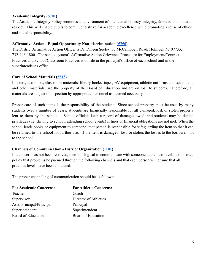#### **Academic Integrity ([5701\)](https://www.straussesmay.com/seportal/Public/DistrictPolicy.aspx?policyid=5701&search=5701&id=db979825af1b42e381d05b7cebdb5212)**

The Academic Integrity Policy promotes an environment of intellectual honesty, integrity, fairness, and mutual respect. This will enable pupils to continue to strive for academic excellence while promoting a sense of ethics and social responsibility.

#### **Affirmative Action - Equal Opportunity Non-discrimination ([5750](https://www.straussesmay.com/seportal/Public/DistrictPolicy.aspx?policyid=5750&search=5750&id=db979825af1b42e381d05b7cebdb5212))**

The District Affirmative Action Officer is Dr. Dineen Seeley, 65 McCampbell Road, Holmdel, NJ 07733, 732-946-1800. The school system's Affirmative Action Grievance Procedure for Employment/Contract Practices and School/Classroom Practices is on file in the principal's office of each school and in the superintendent's office.

#### **Care of School Materials [\(5513](https://www.straussesmay.com/seportal/Public/DistrictPolicy.aspx?policyid=5513&search=5513&id=db979825af1b42e381d05b7cebdb5212))**

Lockers, textbooks, classroom materials, library books, tapes, AV equipment, athletic uniforms and equipment, and other materials, are the property of the Board of Education and are on loan to students. Therefore, all materials are subject to inspection by appropriate personnel as deemed necessary.

Proper care of such items is the responsibility of the student. Since school property must be used by many students over a number of years, students are financially responsible for all damaged, lost, or stolen property lent to them by the school. School officials keep a record of damages owed, and students may be denied privileges (i.e. driving to school, attending school events) if fines or financial obligations are not met. When the school lends books or equipment to someone, that person is responsible for safeguarding the item so that it can be returned to the school for further use. If the item is damaged, lost, or stolen, the loss is to the borrower, not to the school.

#### **Channels of Communication - District Organization [\(1101\)](https://www.straussesmay.com/seportal/Public/DistrictPolicy.aspx?policyid=1100&search=chain+of+command&id=db979825af1b42e381d05b7cebdb5212)**

If a concern has not been resolved, then it is logical to communicate with someone at the next level. It is district policy that problems be pursued through the following channels and that each person will ensure that all previous levels have been contacted.

The proper channeling of communication should be as follows:

| <b>For Academic Concerns:</b> | <b>For Athletic Concerns:</b> |
|-------------------------------|-------------------------------|
| Teacher                       | Coach                         |
| Supervisor                    | Director of Athletics         |
| Asst. Principal/Principal     | Principal                     |
| Superintendent                | Superintendent                |
| Board of Education            | Board of Education            |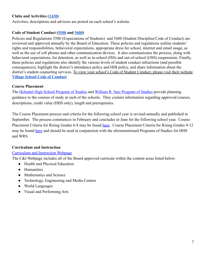#### **Clubs and Activities ([2430](https://www.straussesmay.com/seportal/Public/DistrictPolicy.aspx?policyid=2430&search=clubs+and+actiities&id=db979825af1b42e381d05b7cebdb5212))**

Activities, descriptions and advisors are posted on each school's website.

#### **Code of Student Conduct ([5500](https://www.straussesmay.com/seportal/Public/DistrictPolicy.aspx?policyid=5500&search=5500&id=db979825af1b42e381d05b7cebdb5212) and [5600](https://www.straussesmay.com/seportal/Public/DistrictPolicy.aspx?policyid=5600&search=5600&id=db979825af1b42e381d05b7cebdb5212))**

Policies and Regulations 5500 (Expectations of Students) and 5600 (Student Discipline/Code of Conduct) are reviewed and approved annually by the Board of Education. These policies and regulations outline students' rights and responsibilities, behavioral expectations, appropriate dress for school, internet and email usage, as well as the use of cell phones and other communication devices. It also communicates the process, along with behavioral expectations, for detention, as well as in-school (ISS) and out-of-school (OSS) suspensions. Finally, these policies and regulations also identify the various levels of student conduct infractions (and possible consequences), highlight the district's attendance policy and HIB policy, and share information about the district's student counseling services. To view your school's Code of Student Conduct, please visit their website. **[Village School Code of Conduct](https://drive.google.com/file/d/0B3lWYk_86t0-TkdyWXpwcFBLc0N5RzRGeEtJLVB0Y3NDV3dB/view?usp=sharing)**

#### **Course Placement**

The [Holmdel High School Program of Studies](https://www.holmdelschools.org/uploaded/Schools/Holmdel_High_School/hs_program_studies.pdf) and William [R. Satz Program of Studies](https://www.holmdelschools.org/uploaded/Schools/WR_Satz_School/satz_program_studies.pdf) provide planning guidance to the courses of study at each of the schools. They contain information regarding approved courses, descriptions, credit value (HHS only), length and prerequisites.

The Course Placement process and criteria for the following school year is revised annually and published in September. The process commences in February and concludes in June for the following school year. Course Placement Criteria for Rising Grades 6-8 may be found [here.](https://docs.google.com/document/d/11stVn4StDM9yzFFctiR8HUwLgE73kn4tqdc9MouWoN8/edit) Course Placement Criteria for Rising Grades 9-12 may be found [here](https://docs.google.com/document/d/1IvjNJScrSaVIPTjpQZwBOKbLNIH4qzJdv5esLtEbczA/edit) and should be used in conjunction with the aforementioned Programs of Studies for HHS and WRS.

#### **Curriculum and Instruction**

#### [Curriculum and Instruction Webpage](https://www.holmdelschools.org/departments/curriculum-and-instruction)

The C&I Webpage includes all of the Board approved curricula within the content areas listed below:

- Health and Physical Education
- Humanities
- Mathematics and Science
- Technology, Engineering and Media Centers
- World Languages
- Visual and Performing Arts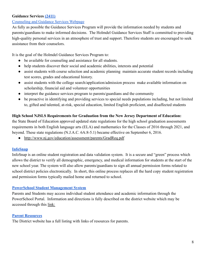#### **Guidance Services [\(2411\)](https://www.straussesmay.com/seportal/Public/DistrictPolicy.aspx?policyid=2411&search=2411&id=db979825af1b42e381d05b7cebdb5212)**

#### [Counseling and Guidance Services Webpage](https://www.holmdelschools.org/departments/counseling-guidance-services)

As fully as possible the Guidance Services Program will provide the information needed by students and parents/guardians to make informed decisions. The Holmdel Guidance Services Staff is committed to providing high-quality personal services in an atmosphere of trust and support. Therefore students are encouraged to seek assistance from their counselors.

It is the goal of the Holmdel Guidance Services Program to:

- be available for counseling and assistance for all students.
- help students discover their social and academic abilities, interests and potential
- assist students with course selection and academic planning maintain accurate student records including test scores, grades and educational history.
- assist students with the college search/application/admission process make available information on scholarship, financial aid and volunteer opportunities
- interpret the guidance services program to parents/guardians and the community
- be proactive in identifying and providing services to special needs populations including, but not limited to, gifted and talented, at-risk, special education, limited English proficient, and disaffected students

#### **High School NJSLS Requirements for Graduation from the New Jersey Department of Education:**

the State Board of Education approved updated state regulations for the high school graduation assessments requirements in both English language arts (ELA) and mathematics for the Classes of 2016 through 2021, and beyond. These state regulations (N.J.A.C. 6A:8-5.1) became effective on September 6, 2016.

• <http://www.nj.gov/education/assessment/parents/GradReq.pdf>

#### **[InfoSnap](https://www.holmdelschools.org/parents/parent-resource-listing)**

InfoSnap is an online student registration and data validation system. It is a secure and "green" process which allows the district to verify all demographic, emergency, and medical information for students at the start of the new school year. The system will also allow parents/guardians to sign all annual permission forms related to school district policies electronically. In short, this online process replaces all the hard copy student registration and permission forms typically mailed home and returned to school.

#### **[PowerSchool Student Management System](https://powerschool.holmdelschools.org/public/)**

Parents and Students may access individual student attendance and academic information through the PowerSchool Portal. Information and directions is fully described on the district website which may be accessed through this [link:](https://www.holmdelschools.org/parents/parent-resource-listing)

#### **[Parent Resources](https://www.holmdelschools.org/parents/parent-resource-listing)**

The District website has a full listing with links of resources for parents.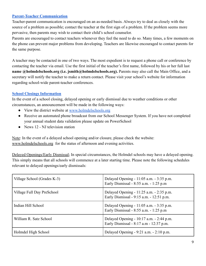#### **[Parent-Teacher Communication](https://www.holmdelschools.org/parents/parent-resource-listing)**

Teacher-parent communication is encouraged on an as-needed basis. Always try to deal as closely with the source of a problem as possible; contact the teacher at the first sign of a problem. If the problem seems more pervasive, then parents may wish to contact their child's school counselor.

Parents are encouraged to contact teachers whenever they feel the need to do so. Many times, a few moments on the phone can prevent major problems from developing. Teachers are likewise encouraged to contact parents for the same purpose.

A teacher may be contacted in one of two ways. The most expedient is to request a phone call or conference by contacting the teacher via email. Use the first initial of the teacher's first name, followed by his or her full last **name @holmdelschools.org (i.e. jsmith@holmdelschools.org).** Parents may also call the Main Office, and a secretary will notify the teacher to make a return contact. Please visit your school's website for information regarding school-wide parent-teacher conferences.

#### **[School Closings Information](https://holmdelk12njus.finalsite.com/district/emergency-closing-info)**

In the event of a school closing, delayed opening or early dismissal due to weather conditions or other circumstances, an announcement will be made in the following ways:

- View the district website at [www.holmdelschools.org](https://www.holmdelschools.org/)
- Receive an automated phone broadcast from our School Messenger System. If you have not completed your annual student data validation please update on PowerSchool
- News 12 NJ television station

Note: In the event of a delayed school opening and/or closure, please check the website: [www.holmdelschools.org](http://www.holmdelschools.org) for the status of afternoon and evening activities.

Delayed Openings/Early Dismissal; In special circumstances, the Holmdel schools may have a delayed opening. This simply means that all schools will commence at a later starting time. Please note the following schedules relevant to delayed openings/early dismissals:

| Village School (Grades K-3) | Delayed Opening $-11:05$ a.m. $-3:35$ p.m.<br>Early Dismissal - 8:55 a.m. - 1:25 p.m.   |
|-----------------------------|-----------------------------------------------------------------------------------------|
| Village Full Day PreSchool  | Delayed Opening - $11:25$ a.m. $-2:35$ p.m.<br>Early Dismissal - 9:15 a.m. - 12:51 p.m. |
| Indian Hill School          | Delayed Opening $-11:05$ a.m. $-3:35$ p.m.<br>Early Dismissal - 8:55 a.m. - 1:25 p.m.   |
| William R. Satz School      | Delayed Opening - $10:17$ a.m. $-2:44$ p.m.<br>Early Dismissal - 8:17 a.m - 12:37 p.m.  |
| Holmdel High School         | Delayed Opening $-9:21$ a.m. $-2:10$ p.m.                                               |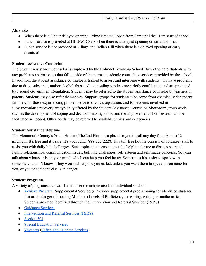Also note:

- When there is a 2 hour delayed opening, PrimeTime will open from 9am until the 11am start of school.
- Lunch service is provided at HHS/W.R.Satz when there is a delayed opening or early dismissal.
- Lunch service is not provided at Village and Indian Hill when there is a delayed opening or early dismissal

# **Student Assistance Counselor**

The Student Assistance Counselor is employed by the Holmdel Township School District to help students with any problems and/or issues that fall outside of the normal academic counseling services provided by the school. In addition, the student assistance counselor is trained to assess and intervene with students who have problems due to drug, substance, and/or alcohol abuse. All counseling services are strictly confidential and are protected by Federal Government Regulation. Students may be referred to the student assistance counselor by teachers or parents. Students may also refer themselves. Support groups for students who come from chemically dependent families, for those experiencing problems due to divorce/separation, and for students involved in substance-abuse recovery are typically offered by the Student Assistance Counselor. Short-term group work, such as the development of coping and decision-making skills, and the improvement of self-esteem will be facilitated as needed. Other needs may be referred to available clinics and or agencies.

## **Student Assistance Helpline**

The Monmouth County's Youth Hotline, The 2nd Floor, is a place for you to call any day from 9am to 12 midnight. It's free and it's safe. It's your call.1-888-222-2228. This toll-free hotline consists of volunteer staff to assist you with daily life challenges. Such topics that teens contact the helpline for are to discuss peer and family relationships, communication issues, bullying challenges, self-esteem and self image concerns. You can talk about whatever is on your mind, which can help you feel better. Sometimes it's easier to speak with someone you don't know. They won't tell anyone you called, unless you want them to speak to someone for you, or you or someone else is in danger.

# **Student Programs**

A variety of programs are available to meet the unique needs of individual students.

- [Achieve Program](https://sites.google.com/holmdelschools.org/supplemental-programs/home) (Supplemental Services)- Provides supplemental programming for identified students that are in danger of meeting Minimum Levels of Proficiency in reading, writing or mathematics. Students are often identified through the Intervention and Referral Services (I&RS)
- [Guidance Services](https://sites.google.com/holmdelschools.org/counseling-corner/home)
- [Intervention and Referral Services \(I&RS\)](https://www.straussesmay.com/seportal/Public/DistrictPolicy.aspx?policyid=2417&search=intervention+and+referral&id=db979825af1b42e381d05b7cebdb5212)
- [Section 504](https://www.holmdelschools.org/schools/village-school-p-3/section-504)
- [Special Education Services](https://www.holmdelschools.org/departments/special-services)
- [Voyagers](https://sites.google.com/holmdelschools.org/holmdeltownshippublicschoolsgi) [\(Gifted and Talented Services](https://www.straussesmay.com/seportal/Public/DistrictPolicy.aspx?policyid=2417&search=intervention+and+referral&id=db979825af1b42e381d05b7cebdb5212))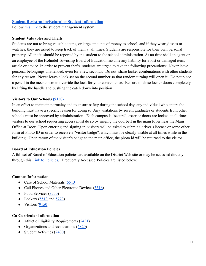#### **[Student Registration/Returning Student Information](https://powerschool.holmdelschools.org/public/)**

Follow [this link](https://powerschool.holmdelschools.org/public/) to the student management system.

#### **Student Valuables and Thefts**

Students are not to bring valuable items, or large amounts of money to school, and if they wear glasses or watches, they are asked to keep track of them at all times. Students are responsible for their own personal property. All thefts should be reported by the student to the school administration. At no time shall an agent or an employee of the Holmdel Township Board of Education assume any liability for a lost or damaged item, article or device. In order to prevent thefts, students are urged to take the following precautions: Never leave personal belongings unattended, even for a few seconds. Do not share locker combinations with other students for any reason. Never leave a lock set on the second number so that random turning will open it. Do not place a pencil in the mechanism to override the lock for your convenience. Be sure to close locker doors completely by lifting the handle and pushing the catch down into position

#### **Visitors to Our Schools [\(9150\)](https://www.straussesmay.com/seportal/Public/DistrictPolicy.aspx?policyid=9150&search=9150&id=db979825af1b42e381d05b7cebdb5212)**

In an effort to maintain normalcy and to ensure safety during the school day, any individual who enters the building must have a specific reason for doing so. Any visitations by recent graduates or students from other schools must be approved by administration. Each campus is "secure"; exterior doors are locked at all times; visitors to our school requesting access must do so by ringing the doorbell in the main foyer near the Main Office at Door. Upon entering and signing in, visitors will be asked to submit a driver's license or some other form of Photo ID in order to receive a "visitor badge", which must be clearly visible at all times while in the building. Upon return of the visitor's badge to the main office, the photo id will be returned to the visitor.

#### **Board of Education Policies**

A full set of Board of Education policies are available on the District Web site or may be accessed directly through this [Link to Policies.](https://www.straussesmay.com/seportal/Public/pubELANOnline.aspx?id=db979825af1b42e381d05b7cebdb5212) Frequently Accessed Policies are listed below:

#### **Campus Information**

- Care of School Materials [\(5513](https://www.straussesmay.com/seportal/Public/DistrictPolicy.aspx?policyid=5513&search=5513&id=db979825af1b42e381d05b7cebdb5212))
- Cell Phones and Other Electronic Devices [\(5516](https://www.straussesmay.com/seportal/Public/DistrictPolicy.aspx?policyid=5516&search=5516&id=db979825af1b42e381d05b7cebdb5212))
- Food Services [\(8500](https://www.straussesmay.com/seportal/Public/DistrictPolicy.aspx?policyid=8500&search=8500&id=db979825af1b42e381d05b7cebdb5212))
- Lockers  $(5513 \text{ and } 5770)$  $(5513 \text{ and } 5770)$  $(5513 \text{ and } 5770)$  $(5513 \text{ and } 5770)$
- $\bullet$  Visitors [\(9150](https://www.straussesmay.com/seportal/Public/DistrictPolicy.aspx?policyid=9150&search=9150&id=db979825af1b42e381d05b7cebdb5212))

#### **Co-Curricular Information**

- Athletic Eligibility Requirements  $(2431)$  $(2431)$
- Organizations and Associations ([5820\)](https://www.straussesmay.com/seportal/Public/DistrictPolicy.aspx?policyid=5820&search=5820&id=db979825af1b42e381d05b7cebdb5212)
- Student Activities ([2430](https://www.straussesmay.com/seportal/Public/DistrictPolicy.aspx?policyid=2430&search=2430&id=db979825af1b42e381d05b7cebdb5212))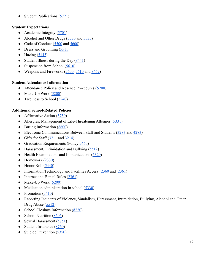Student Publications ([5721\)](https://www.straussesmay.com/seportal/Public/DistrictPolicy.aspx?policyid=5721&search=5721&id=db979825af1b42e381d05b7cebdb5212)

#### **Student Expectations**

- Academic Integrity  $(5701)$  $(5701)$
- Alcohol and Other Drugs ([5530](https://www.straussesmay.com/seportal/Public/DistrictPolicy.aspx?policyid=5530&search=5530&id=db979825af1b42e381d05b7cebdb5212) and [5535\)](https://www.straussesmay.com/seportal/Public/DistrictPolicy.aspx?policyid=5535&search=5535&id=db979825af1b42e381d05b7cebd)
- Code of Conduct  $(5500 \text{ and } 5600)$  $(5500 \text{ and } 5600)$  $(5500 \text{ and } 5600)$  $(5500 \text{ and } 5600)$  $(5500 \text{ and } 5600)$
- Dress and Grooming ([5511\)](https://www.straussesmay.com/seportal/Public/DistrictPolicy.aspx?policyid=5511&search=5511&id=db979825af1b42e381d05b7cebdb5212)
- $\bullet$  Hazing ([5145\)](https://www.straussesmay.com/seportal/Public/DistrictPolicy.aspx?policyid=5820&search=hazing&id=db979825af1b42e381d05b7cebdb5212)
- Student Illness during the Day  $(8441)$  $(8441)$
- Suspension from School  $(5610)$  $(5610)$
- Weapons and Fireworks  $(5600, 5610)$  $(5600, 5610)$  $(5600, 5610)$  $(5600, 5610)$  $(5600, 5610)$  and  $8467$ )

#### **Student Attendance Information**

- Attendance Policy and Absence Procedures ([5200](https://www.straussesmay.com/seportal/Public/DistrictPolicy.aspx?policyid=5200&search=5200&id=db979825af1b42e381d05b7cebdb5212))
- Make-Up Work  $(5200)$  $(5200)$
- Tardiness to School  $(5240)$  $(5240)$

## **Additional School-Related Policies**

- Affirmative Action  $(5750)$  $(5750)$  $(5750)$
- Allergies: Management of Life-Threatening Allergies ([5331](https://www.straussesmay.com/seportal/Public/DistrictPolicy.aspx?policyid=5331&search=5331&id=db979825af1b42e381d05b7cebdb5212))
- Busing Information [\(8600](https://www.straussesmay.com/seportal/Public/DistrictPolicy.aspx?policyid=5331&search=5331&id=db979825af1b42e381d05b7cebdb5212))
- Electronic Communications Between Staff and Students [\(3283](https://www.straussesmay.com/seportal/Public/DistrictPolicy.aspx?policyid=3283&search=3283&id=db979825af1b42e381d05b7cebdb5212) and [4283](https://www.straussesmay.com/seportal/Public/DistrictPolicy.aspx?policyid=4283&search=4283&id=db979825af1b42e381d05b7cebdb5212))
- Gifts for Staff  $(3211 \text{ and } 3214)$  $(3211 \text{ and } 3214)$  $(3211 \text{ and } 3214)$
- Graduation Requirements (Policy [5460](https://www.straussesmay.com/seportal/Public/DistrictPolicy.aspx?policyid=5460&search=5460&id=db979825af1b42e381d05b7cebdb5212))
- Harassment, Intimidation and Bullying [\(5512](https://www.straussesmay.com/seportal/Public/DistrictPolicy.aspx?policyid=5512&search=5512&id=db979825af1b42e381d05b7cebdb5212))
- Health Examinations and Immunizations [\(5320](https://www.straussesmay.com/seportal/Public/DistrictPolicy.aspx?policyid=5320&search=5320&id=db979825af1b42e381d05b7cebdb5212))
- $\bullet$  Homework ([2330\)](https://www.straussesmay.com/seportal/Public/DistrictPolicy.aspx?policyid=2330&search=2330&id=db979825af1b42e381d05b7cebdb5212)
- $\bullet$  Honor Roll [\(5440](https://www.straussesmay.com/seportal/Public/DistrictPolicy.aspx?policyid=5440&search=5440&id=db979825af1b42e381d05b7cebdb5212))
- Information Technology and Facilities Access [\(2360](https://www.straussesmay.com/seportal/Public/DistrictPolicy.aspx?policyid=2360&search=2360&id=db979825af1b42e381d05b7cebdb5212) and [2361](https://www.straussesmay.com/seportal/Public/DistrictPolicy.aspx?policyid=2361&search=2361&id=db979825af1b42e381d05b7cebdb5212))
- Internet and E-mail Rules ([2361\)](https://www.straussesmay.com/seportal/Public/DistrictPolicy.aspx?policyid=2361&search=2361&id=db979825af1b42e381d05b7cebdb5212)
- Make-Up Work  $(5200)$  $(5200)$
- Medication administration in school ([5330\)](https://www.straussesmay.com/seportal/Public/DistrictPolicy.aspx?policyid=5330&search=5330&id=db979825af1b42e381d05b7cebdb5212)
- Promotion  $(5410)$  $(5410)$
- Reporting Incidents of Violence, Vandalism, Harassment, Intimidation, Bullying, Alcohol and Other Drug Abuse ([5512](https://www.straussesmay.com/seportal/Public/DistrictPolicy.aspx?policyid=5512&search=5512&id=db979825af1b42e381d05b7cebdb5212))
- School Closings Information ([8220\)](https://www.straussesmay.com/seportal/Public/DistrictPolicy.aspx?policyid=8220&search=school+closing&id=db979825af1b42e381d05b7cebdb5212)
- School Nutrition [\(8505](https://www.straussesmay.com/seportal/Public/DistrictPolicy.aspx?policyid=8505&search=8505&id=db979825af1b42e381d05b7cebdb5212))
- Sexual Harassment  $(5751)$  $(5751)$
- Student Insurance [\(8760](https://www.straussesmay.com/seportal/Public/DistrictPolicy.aspx?policyid=8760&search=8760&id=db979825af1b42e381d05b7cebdb5212))
- Suicide Prevention ([5350\)](https://www.straussesmay.com/seportal/Public/DistrictPolicy.aspx?policyid=5350&search=5350&id=db979825af1b42e381d05b7cebdb5212)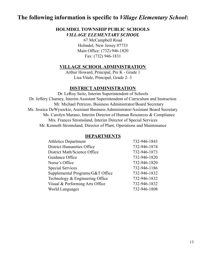# **The following information is specific to** *Village Elementary School***:**

## **HOLMDEL TOWNSHIP PUBLIC SCHOOLS** *VILLAGE ELEMENTARY SCHOOL*

67 McCampbell Road Holmdel, New Jersey 07733 Main Office: (732) 946-1820 Fax: (732) 946-1831

#### **VILLAGE SCHOOLADMINISTRATION**

Arthur Howard, Principal, Pre K - Grade 1 Lisa Vitale, Principal, Grade 2- 3

#### **DISTRICT ADMINISTRATION**

Dr. LeRoy Seitz, Interim Superintendent of Schools Dr. Jeffery Charney, Interim Assistant Superintendent of Curriculum and Instruction Mr. Michael Petrizzo, Business Administrator/Board Secretary Ms. Jessica DeWysockie, Assistant Business Administrator/Assistant Board Secretary Ms. Carolyn Marano, Interim Director of Human Resources & Compliance Mrs. Frances Stromsland, Interim Director of Special Services Mr. Kenneth Stromsland, Director of Plant, Operations and Maintenance

#### **DEPARTMENTS**

| 732-946-1843 |
|--------------|
| 732-946-1874 |
| 732-946-1873 |
| 732-946-1820 |
| 732-946-1820 |
| 732-946-1186 |
| 732-946-1832 |
| 732-946-1832 |
| 732-946-1832 |
| 732-946-1808 |
|              |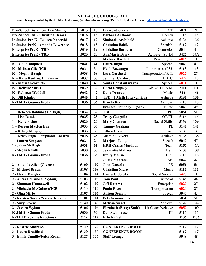#### **VILLAGE SCHOOL STAFF**

**Email is represented by first initial, last name, @holmdelschools.org (Ex: Principal Art Howard [ahoward@holmdelschools.org\)](mailto:ahoward@holmdelschools.org)**

| Pre-School Dis. - Lori Ann Minnig        | 5015 | 15  | <b>OT</b><br><b>Liz Abadiotakis</b>                 | 5021 | 21         |
|------------------------------------------|------|-----|-----------------------------------------------------|------|------------|
| Pre-School Dis. - Christina Damas        | 5016 | 16  | <b>Barbara Anthony</b><br>Speech                    | 5115 | 115        |
| <b>Inclusion Pre-K - Lauren Naperski</b> | 5017 | 17  | Shalonda Archibald<br>Achieve                       | 5136 | 136        |
| <b>Inclusion PreK - Amanda Lawrence</b>  | 5018 | 18  | <b>Christina Babik</b><br>Spanish                   | 5112 | 112        |
| <b>Enterprise PreK - TBD</b>             | 5019 | 19  | <b>Christine Barbara</b><br>Counselor               | 5044 | 44         |
| <b>Enterprise PreK - TBD</b>             | 5020 | 20  | <b>AnnMarie Barry</b><br>Achieve Sp Ed              | 5425 | 34A        |
|                                          |      |     | <b>Mallory Bartlett</b><br>Psychologist             | 6016 | 11         |
| K - Gail Campbell                        | 5041 | 41  | <b>Laura Bligh</b><br>Speech                        | 5043 | 43         |
| K - Melissa Gliet/ICR                    | 5034 | 34  | Librarian x 6032<br>Heidi Buzzanga                  | 5113 | 113        |
| K - Megan Haugh                          | 5038 | 38  | Lara Carducci<br>Transportation / P. T.             | 5027 | 27         |
| K - Kara Renfroe/Jill Kimler             | 5037 | 37  | <b>Jennifer Carducci</b><br><b>LDTC</b>             | 5422 | 115        |
| K - Marisa Scarpitta                     | 5040 | 40  | <b>Voula Constantarakos</b><br>Speech               | 6011 | 11         |
| K – Deirdre Varga                        | 5039 | 39  | <b>Carol Dempsey</b><br>G&T/S.T.E.A.M.              | 5111 | 111        |
| <b>K</b> - Rebecca Waddell               | 5042 | 42  | <b>Dana Donovan</b><br>Music                        | 5141 | 141        |
| K - Jill Kimler                          | 5045 | 45  | <b>TBD</b> (.5 Math Intervention)<br>Achieve        | 5135 | 135        |
| K-3 MD - Gianna Freda                    | 5036 | 36  | <b>Erin Fetter</b><br>Achieve                       | 5118 | 118        |
|                                          |      |     | <b>Frances Flannelly</b><br>(5159)<br>Nurse         | 5049 | 49         |
| 1 - Rebecca Baldino (McHugh)             | 5032 | 32  | <b>TBD</b><br>PE                                    | 5051 | 51         |
| 1-Lisa Barsh                             | 5025 | 25  | OT/PT<br><b>Tracy Garguilo</b>                      | 5116 | 116        |
| 1 - Kelly Fisher                         | 5026 | 26  | <b>Mary Glennon</b><br>Social Skills                | 5139 | 139        |
| 1-Doreen MacFarlane                      | 5033 | 33  | <b>Tammy Graham</b><br>PE                           | 5142 | 142        |
| 1 - Kelsey Murphy                        | 5035 | 35  | <b>Jillian Greco</b><br>Art                         | 5137 | 137        |
| 1 - Kristy Pugielli/Stephanie Karatzia   | 5028 | 28  | <b>Yasmine Laverne</b><br>Achieve                   | 5135 | 135        |
| 1 - Lauren Simpson                       | 5024 | 24  | Marjorie Longo<br>Speech                            | 5047 | 47         |
| 1 - Jaime McHugh                         | 5031 | 31  | <b>HRH Carlos Machado</b><br>Tech                   | 5152 | <b>46A</b> |
| 1 - Megan Neville                        | 5030 | 30  | <b>ESL</b><br><b>Jeannette Malizia</b>              | 5138 | 138        |
| K-3 MD - Gianna Freda                    | 5036 | 36  | OT/PT<br><b>Emily McCue</b>                         | 5116 | 116        |
|                                          |      |     | <b>Jaime Montana</b><br>Art                         | 5022 | 22         |
| 2 - Amanda Allen (Givens)                | 5109 | 109 | <b>John Nacarlo</b><br>PE                           | 5051 | 51         |
| 2 - Michael Braun                        | 5108 | 108 | Music<br><b>Christina Nigro</b>                     | 5112 | 112        |
| 2 - Harry Dangler                        | 5104 | 104 | Laura Oldenski<br>Social Worker                     | 5423 | 11         |
| 2 - Alicia DelBuono (Wylam)              | 5103 | 103 | <b>Tom Paul</b><br>Custodial                        | 5146 | 46         |
| 2 - Shannon Hunnewell                    | 5102 | 102 | <b>Jeff Rainess</b><br>Enterprise                   | 5027 | 27         |
| 2 - Michaela McGuiness/ICR               | 5110 | 110 | <b>Paula Ricco</b><br>Transportation                | 6020 | 27         |
| 2 - Gina Mirto                           | 5107 | 107 | <b>Allison Seman</b><br>Speech                      | 5043 | 43         |
| 2 - Kristen Savare/Natalie Rinaldi       | 5101 | 101 | <b>Beth Semanchick</b><br>PE                        | 5051 | 51         |
| 2 - Suzy Givens                          | 5140 | 140 | <b>Melissa Siegel</b><br>Achieve                    | 5122 | 122        |
| 2 - Jessica Wylam                        | 5106 | 106 | Lit.Coach/Achieve<br><b>Elizabeth (Betsy) Smith</b> | 5057 | 100        |
| K-3 MD - Gianna Freda                    | 5036 | 36  | Dan Steinhauser<br><b>PT</b>                        | 5116 | 116        |
| K-3 LLD - Jamie Rapcienski               | 5119 | 119 | <b>Erin Rafael</b>                                  | 5136 | 5136       |
|                                          |      |     |                                                     |      |            |
| 3 - Rosette Andrews                      | 5129 | 129 | <b>CONFERENCE ROOM</b>                              | 5117 | 117        |
| 3 - Laura Bradfield                      | 5130 | 130 | <b>CONFERENCE ROOM</b>                              | 5117 | 117        |
| 3 - Emily Camillo/Faith Renna            | 5127 | 127 | <b>Staff Lounge</b>                                 | 5048 | 48         |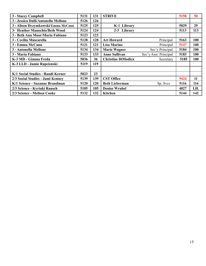| 3 - Stacey Campbell                 | 5131 | 131 | <b>STRIVE</b>                                 | 5158 | 50         |
|-------------------------------------|------|-----|-----------------------------------------------|------|------------|
| 3 - Jessica Dalli/Antonella Mellone | 5126 | 126 |                                               |      |            |
| 3 - Alison Drzymkowski/Emma McCann  | 5125 | 125 | K-1 Library                                   | 5029 | 29         |
| 3- Heather Manochio/Beth Wood       | 5124 | 124 | 2-3 Library                                   | 5113 | 113        |
| 3 - Beth Ann Moor/Maria Fabiano     | 5123 | 123 |                                               |      |            |
| 3 - Cecilia Muscarella              | 5128 | 128 | <b>Art Howard</b><br>Principal                | 5163 | 100        |
| 3 - Emma McCann                     | 5121 | 121 | <b>Lisa Marino</b><br>Principal               | 5147 | 100        |
| 3 - Antonella Mellone               | 5134 | 134 | Sec'y Principal<br><b>Marie Wagner</b>        | 5184 | 100        |
| 3 - Maria Fabiano                   | 5133 | 133 | <b>Anne Sullivan</b><br>Sec'y Asst. Principal | 5183 | 100        |
| K-3 MD - Gianna Freda               | 5036 | 36  | <b>Christine DiModica</b><br>Secretary        | 5185 | <b>100</b> |
| K-3 LLD - Jamie Rapcienski          | 5119 | 119 |                                               |      |            |
|                                     |      |     |                                               |      |            |
| K/1 Social Studies - Randi Kerner   | 5023 | 23  |                                               |      |            |
| 2/3 Social Studies - Jami Kenney    | 5139 | 139 | <b>CST Office</b>                             | 5424 | 11         |
| K/1 Science - Suzanne Brandman      | 5120 | 120 | <b>Beth Lieberman</b><br>Sp. Svcs             | 5116 | 116        |
| 2/3 Science - Kyriaki Rausch        | 5105 | 105 | <b>Denise Wrubel</b>                          | 4027 | I.H.       |
| 2/3 Science - Melissa Cooke         | 5132 | 132 | Kitchen                                       | 5144 | 142        |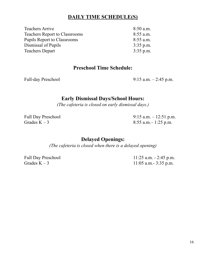# **DAILY TIME SCHEDULE(S)**

| <b>Teachers Arrive</b>               | $8:50$ a.m. |
|--------------------------------------|-------------|
| <b>Teachers Report to Classrooms</b> | $8:55$ a.m. |
| <b>Pupils Report to Classrooms</b>   | $8:55$ a.m. |
| Dismissal of Pupils                  | $3:35$ p.m. |
| <b>Teachers Depart</b>               | $3:35$ p.m. |
|                                      |             |

# **Preschool Time Schedule:**

Full-day Preschool 9:15 a.m. – 2:45 p.m.

# **Early Dismissal Days/School Hours:**

*(The cafeteria is closed on early dismissal days.)*

Full Day Preschool 9:15 a.m. – 12:51 p.m. Grades K – 3 8:55 a.m. – 1:25 p.m.

# **Delayed Openings:**

*(The cafeteria is closed when there is a delayed opening)*

Full Day Preschool 11:25 a.m. - 2:45 p.m. Grades K – 3  $11:05$  a.m. - 3:35 p.m.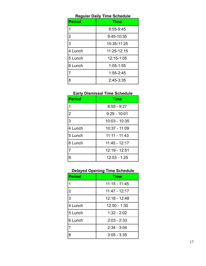| <b>Regular Daily Time Schedule</b> |             |  |  |  |
|------------------------------------|-------------|--|--|--|
| <b>Period</b>                      | <b>Time</b> |  |  |  |
| 1                                  | 8:55-9:45   |  |  |  |
| $\overline{2}$                     | 9:45-10:35  |  |  |  |
| 3                                  | 10:35-11:25 |  |  |  |
| 4 Lunch                            | 11:25-12:15 |  |  |  |
| 5 Lunch                            | 12:15-1:05  |  |  |  |
| 6 Lunch                            | 1:05-1:55   |  |  |  |
|                                    | 1:55-2:45   |  |  |  |
| 8                                  | 2:45-3:35   |  |  |  |

# **Early Dismissal Time Schedule**

| <b>Period</b>  | <b>Time</b>     |  |
|----------------|-----------------|--|
| 1              | $8:55 - 9:27$   |  |
| $\overline{2}$ | $9:29 - 10:01$  |  |
| $\overline{3}$ | 10:03 - 10:35   |  |
| 4 Lunch        | 10:37 - 11:09   |  |
| 5 Lunch        | $11:11 - 11:43$ |  |
| 6 Lunch        | 11:45 - 12:17   |  |
| 7              | 12:19 - 12:51   |  |
| 8              | $12:53 - 1:25$  |  |

# **Delayed Opening Time Schedule**

| <b>Period</b>  | <b>Time</b>     |  |
|----------------|-----------------|--|
| 1              | $11:15 - 11:45$ |  |
| $\overline{2}$ | 11:47 - 12:17   |  |
| 3              | 12:18 - 12:48   |  |
| 4 Lunch        | $12:50 - 1:30$  |  |
| 5 Lunch        | $1:32 - 2:02$   |  |
| 6 Lunch        | $2:03 - 2:33$   |  |
| $\overline{7}$ | $2:34 - 3:04$   |  |
| 8              | $3:05 - 3:35$   |  |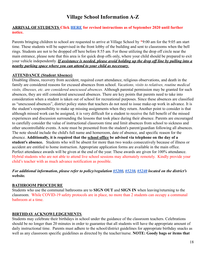# **Village School Information A-Z**

#### **ARRIVAL OF STUDENTS Click [HERE](https://docs.google.com/document/d/1Cog6FldIjP-P51RgiqSG6bsBX1V3ANjflp9oIljONig/edit?usp=sharing) for revised instructions as of September 2020 until further notice.**

Parents bringing children to school are requested to arrive at Village School by \*9:00 am for the 9:05 am start time. These students will be supervised in the front lobby of the building and sent to classrooms when the bell rings. Students are not to be dropped off here before 8:55 am. For those utilizing the drop off circle near the main entrance, please note that this area is for quick drop offs only, where your child should be prepared to exit your vehicle independently. *If assistance is needed, please avoid holding up the drop off line by pulling into a nearby parking space where you can attend to your child as necessary*.

#### **ATTENDANCE (Student Absence)**

Disabling illness, recovery from accident, required court attendance, religious observations, and death in the family are considered reasons for excused absences from school. *Vacations, visits to relatives, routine medical visits, illnesses, etc. are considered unexcused absences.* Although parental permission may be granted for such absences, they are still considered unexcused absences. There are key points that parents need to take into consideration when a student is taken out of school for recreational purposes. Since these absences are classified as "unexcused absences", district policy states that teachers do not need to issue make-up work in advance. It is the student's responsibility to make up missing assignments when they return. Another point to consider is that although missed work can be assigned, it is very difficult for a student to receive the full benefit of the missed experiences and discussion surrounding the lessons that took place during their absence. Parents are encouraged to carefully consider the value of instructional classroom time and limit absences from school to sickness and other uncontrollable events. A note must be presented from the student's parent/guardian following all absences. The note should include the child's full name and homeroom, date of absence, and specific reason for the absence. **Additionally, it is required that the school office be advised via telephone on the day of a student's absence.** Students who will be absent for more than two weeks consecutively because of illness or accident are entitled to home instruction. Appropriate application forms are available in the main office. Perfect attendance awards will be given at the end of the year. These awards are given for 100% attendance. Hybrid students who are not able to attend live school sessions may alternately remotely. Kindly provide your child's teacher with as much advance notification as possible.

#### *For additional information, please refer to policy/regulation [#5200](https://www.straussesmay.com/seportal/Public/DistrictPolicy.aspx?policyid=5200&id=db979825af1b42e381d05b7cebdb5212), [#5230](https://www.straussesmay.com/seportal/Public/DistrictPolicy.aspx?policyid=5230&id=db979825af1b42e381d05b7cebdb5212), [#5240](https://www.straussesmay.com/seportal/Public/DistrictPolicy.aspx?policyid=5240&id=db979825af1b42e381d05b7cebdb5212) located on the district's website.*

#### **BATHROOM PROCEDURE**

Students who use the communal bathrooms are to **SIGN OUT** and **SIGN IN** when leaving/returning to the classroom. While COVID-19 safety protocols are in place, no more than 2 students can occupy a communal bathroom at a time.

#### **BIRTHDAY ACKNOWLEDGEMENTS**

Students may celebrate their birthdays in school under the guidance of the classroom teachers. Celebrations should be no longer than 20 minutes in order to guarantee that all students will have the appropriate amount of daily instructional time. Parents must adhere to the school/district guidelines for appropriate birthday snacks as well as any classroom specific guidelines as directed by the teacher/nurse. **NOTE: Goody bags or items that**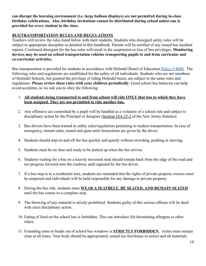**can disrupt the learning environment (i.e. large balloon displays) are not permitted during in-class birthday celebrations. Also, birthday invitations cannot be distributed during school unless one is provided for every student in the class.**

#### **BUS/TRANSPORTATION RULES AND REGULATIONS**

Teachers will review the rules listed below with their students. Students who disregard safety rules will be subject to appropriate discipline as detailed in this handbook. Parents will be notified of any issued bus incident reports. Continued disregard for the bus rules will result in the suspension or loss of bus privileges. **Monitoring devices may be used on school transportation vehicles transporting pupils to and from curricular and co-curricular activities.**

Bus transportation is provided for students in accordance with Holmdel Board of Education [Policy # 8600.](https://www.straussesmay.com/seportal/Public/DistrictPolicy.aspx?policyid=8600&id=db979825af1b42e381d05b7cebdb5212) The following rules and regulations are established for the safety of all individuals. Students who are not members of Holmdel Schools, but granted the privilege of riding Holmdel buses, are subject to the same rules and regulations. **Please review these rules with your children periodically**. Good school bus behavior can help avoid accidents, so we ask you to obey the following:

- 1. **All students being transported to and from school will ride ONLY that bus to which they have been assigned. They are not permitted to ride another bus.**
- 2. Any offensive act committed by a pupil will be handled as a violation of a school rule and subject to disciplinary action by the Principal or designee (Section [18A:25-2](http://lis.njleg.state.nj.us/nxt/gateway.dll?f=templates&fn=default.htm&vid=Publish:10.1048/Enu) of the New Jersey Statutes).
- 3. Bus drivers have been trained in safety rules/regulations pertaining to student transportation. In case of emergency, remain calm, seated and quiet until instructions are given by the driver.
- 4. Students should step on and off the bus quickly and quietly without crowding, pushing or shoving.
- 5. Students must be on time and ready to be picked up when the bus arrives.
- 6. Students waiting for a bus on a heavily traversed road should remain back from the edge of the road and not progress forward onto the roadway until signaled by the bus driver.
- 7. If a bus stop is in a residential area, students are reminded that the rights of private property owners must be respected and individuals will be held responsible for any damage to private property.
- 8. During the bus ride, students must **WEAR A SEATBELT, BE SEATED, AND REMAIN SEATED** until the bus comes to a complete stop.
- 9. The throwing of any material is strictly prohibited. Students guilty of this serious offense will be dealt with strict disciplinary action.
- 10. Eating of food on the school bus is forbidden. This can introduce life threatening allergens to other riders.
- 11. Extending arms or heads out of school bus windows is **STRICTLY FORBIDDEN.** Aisles must remain clear at all times. Your body should be appropriately seated (no feet/knees in aisles) and all materials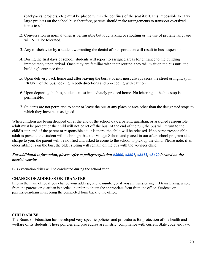(backpacks, projects, etc.) must be placed within the confines of the seat itself. It is impossible to carry large projects on the school bus; therefore, parents should make arrangements to transport oversized items to school.

- 12. Conversation in normal tones is permissible but loud talking or shouting or the use of profane language will **NOT** be tolerated.
- 13. Any misbehavior by a student warranting the denial of transportation will result in bus suspension.
- 14. During the first days of school, students will report to assigned areas for entrance to the building immediately upon arrival. Once they are familiar with their routine, they will wait on the bus until the building's entrance time.
- 15. Upon delivery back home and after leaving the bus, students must always cross the street or highway in **FRONT** of the bus, looking in both directions and proceeding with caution.
- 16. Upon departing the bus, students must immediately proceed home. No loitering at the bus stop is permissible.
- 17. Students are not permitted to enter or leave the bus at any place or area other than the designated stops to which they have been assigned.

When children are being dropped off at the end of the school day, a parent, guardian, or assigned responsible adult must be present or the child will not be let off the bus. At the end of the run, the bus will return to the child's stop and, if the parent or responsible adult is there, the child will be released. If no parent/responsible adult is present, the student will be brought back to Village School and placed in our after school program at a charge to you; the parent will be notified and asked to come to the school to pick up the child. Please note: if an older sibling is on the bus, the older sibling will remain on the bus with the younger child.

#### *For additional information, please refer to policy/regulation [#8600](https://www.straussesmay.com/seportal/Public/DistrictPolicy.aspx?policyid=8600&id=db979825af1b42e381d05b7cebdb5212), [#8601](https://www.straussesmay.com/seportal/Public/DistrictPolicy.aspx?policyid=8601&id=db979825af1b42e381d05b7cebdb5212), [#8613](https://www.straussesmay.com/seportal/Public/DistrictPolicy.aspx?policyid=8613&id=db979825af1b42e381d05b7cebdb5212), [#8690](https://www.straussesmay.com/seportal/Public/DistrictPolicy.aspx?policyid=8690&id=db979825af1b42e381d05b7cebdb5212) located on the district website.*

Bus evacuation drills will be conducted during the school year.

#### **CHANGE OF ADDRESS OR TRANSFER**

Inform the main office if you change your address, phone number, or if you are transferring. If transferring, a note from the parents or guardian is needed in order to obtain the appropriate form from the office. Students or parents/guardians must bring the completed form back to the office.

#### **CHILD ABUSE**

The Board of Education has developed very specific policies and procedures for protection of the health and welfare of its students. These policies and procedures are in strict compliance with current State code and law.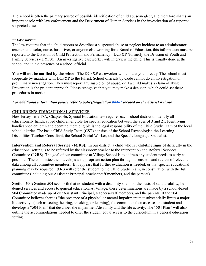The school is often the primary source of possible identification of child abuse/neglect, and therefore shares an important role with law enforcement and the Department of Human Services in the investigation of a reported, suspected case.

#### **\*\*Advisory\*\***

The law requires that if a child reports or describes a suspected abuse or neglect incident to an administrator, teacher, counselor, nurse, bus driver, or anyone else working for a Board of Education, this information must be reported to the Division of Child Protection and Permanency - DCP&P (formerly the Division of Youth and Family Services - DYFS). An investigative caseworker will interview the child. This is usually done at the school and in the presence of a school official.

**You will not be notified by the school**. The DCP&P caseworker will contact you directly. The school must cooperate by mandate with DCP&P to the fullest. School officials by Code cannot do an investigation or preliminary investigation. They must report any suspicion of abuse, or if a child makes a claim of abuse. Prevention is the prudent approach. Please recognize that you may make a decision, which could set these procedures in motion.

#### *For additional information please refer to policy/regulation [#8462](https://www.straussesmay.com/seportal/Public/DistrictPolicy.aspx?policyid=8462&id=db979825af1b42e381d05b7cebdb5212) located on the district website.*

#### **CHILDREN'S EDUCATIONAL SERVICES**

New Jersey Title 18A, Chapter 46, Special Education law requires each school district to identify all educationally handicapped children eligible for special education between the ages of 3 and 21. Identifying handicapped children and deeming them eligible is the legal responsibility of the Child Study Team of the local school district. The basic Child Study Team (CST) consists of the School Psychologist, the Learning Disabilities Teacher-Consultant, the School Social Worker, and the Speech/Language Specialist.

**Intervention and Referral Service (I&RS):** In our district, a child who is exhibiting signs of difficulty in the educational setting is to be referred by the classroom teacher to the Intervention and Referral Services Committee (I&RS). The goal of our committee at Village School is to address any student needs as early as possible. The committee then develops an appropriate action plan through discussion and review of relevant data among all committee members. If it appears that further evaluation is needed, or that special educational planning may be required, I&RS will refer the student to the Child Study Team, in consultation with the full committee (including our Assistant Principal, teacher/staff members, and the parents).

**Section 504:** Section 504 sets forth that no student with a disability shall, on the basis of said disability, be denied services and access to general education. At Village, these determinations are made by a school-based 504 Committee made up of our Assistant Principal, teachers/staff members, and the parents. If the 504 Committee believes there is "the presence of a physical or mental impairment that substantially limits a major life activity" (such as seeing, hearing, speaking, or learning), the committee then assesses the student and develops a "504 Plan" that describes the impairment/disability and the life activity. The "504 Plan" will also outline the accommodations needed to offer the student equal access to the curriculum in a general education setting.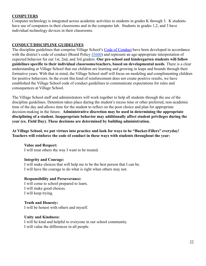#### **COMPUTERS**

Computer technology is integrated across academic activities to students in grades K through 3. K students have use of computers in their classrooms and in the computer lab. Students in grades 1,2, and 3 have individual technology devices in their classrooms.

#### **CONDUCT/DISCIPLINE GUIDELINES**

The discipline guidelines that comprise Village School's [Code of Conduct](https://docs.google.com/document/d/1M0VloV5boLLowfUklFoQ5C_ghATmD9aqJD8vnpRmY2c/edit?usp=sharing) have been developed in accordance with the district's code of conduct (Board Policy [#5600\)](https://www.straussesmay.com/seportal/Public/DistrictPolicy.aspx?policyid=5600&id=db979825af1b42e381d05b7cebdb5212) and represent an age-appropriate interpretation of expected behavior for our 1st, 2nd, and 3rd graders. **Our pre-school and kindergarten students will follow guidelines specific to their individual classrooms/teachers, based on developmental needs**. There is a clear understanding at Village School that our children are learning and growing in leaps and bounds through their formative years. With that in mind, the Village School staff will focus on modeling and complimenting children for positive behaviors. In the event this kind of reinforcement does not create positive results, we have established the Village School code of conduct guidelines to communicate expectations for rules and consequences at Village School.

The Village School staff and administrators will work together to help all students through the use of the discipline guidelines. Detention takes place during the student's recess time or other preferred, non-academic time of the day and allows time for the student to reflect on the poor choice and plan for appropriate decision-making in the future. **Administrative discretion may be used in determining the appropriate disciplining of a student. Inappropriate behavior may additionally affect student privileges during the year (ex. Field Day). These decisions are determined by building administration.**

**At Village School, we put virtues into practice and look for ways to be "Bucket-Fillers" everyday! Teachers will reinforce the code of conduct in these ways with students throughout the year:**

#### **Value and Respect:**

I will treat others the way I want to be treated.

#### **Integrity and Courage:**

I will make choices that will help me to be the best person that I can be. I will have the courage to do what is right when others may not.

#### **Responsibility and Perseverance:**

I will come to school prepared to learn. I will make good choices. I will keep trying.

#### **Truth and Honesty:**

I will be honest with others and myself.

#### **Unity and Kindness:**

I will be kind and helpful to everyone in our school community. I will value the differences in all people.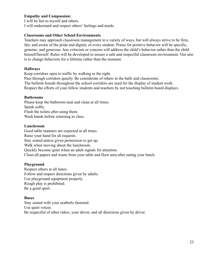#### **Empathy and Compassion:**

I will be fair to myself and others. I will understand and respect others' feelings and needs.

#### **Classrooms and Other School Environments**

Teachers may approach classroom management in a variety of ways, but will always strive to be firm, fair, and aware of the pride and dignity of every student. Praise for positive behavior will be specific, genuine, and generous. Any criticism or concern will address the child's behavior rather than the child himself/herself. Rules will be developed to ensure a safe and respectful classroom environment. Our aim is to change behaviors for a lifetime rather than the moment.

#### **Hallways**

Keep corridors open to traffic by walking to the right. Pass through corridors quietly. Be considerate of others in the halls and classrooms. The bulletin boards throughout the school corridors are used for the display of student work. Respect the efforts of your fellow students and teachers by not touching bulletin board displays.

#### **Bathrooms**

Please keep the bathroom neat and clean at all times. Speak softly. Flush the toilets after using them. Wash hands before returning to class.

#### **Lunchroom**

Good table manners are expected at all times. Raise your hand for all requests. Stay seated unless given permission to get up. Walk when moving about the lunchroom. Quickly become quiet when an adult signals for attention. Clean all papers and waste from your table and floor area after eating your lunch.

#### **Playground**

Respect others at all times. Follow and respect directions given by adults. Use playground equipment properly. Rough play is prohibited. Be a good sport.

#### **Buses**

Stay seated with your seatbelts fastened. Use quiet voices. Be respectful of other riders, your driver, and all directions given by driver.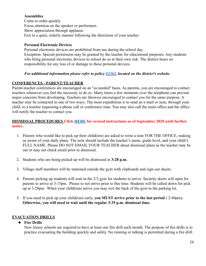#### **Assemblies**

Come to order quickly. Focus attention on the speaker or performers. Show appreciation through applause. Exit in a quiet, orderly manner following the directions of your teacher.

#### **Personal Electronic Devices**

Personal electronic devices are prohibited from use during the school day. Exception: Special permission may be granted by the teacher for educational purposes. Any students who bring personal electronic devices to school do so at their own risk. The district bears no responsibility for any loss of or damage to these personal devices.

#### *For additional information please refer to policy [#2363](https://www.straussesmay.com/seportal/Public/DistrictPolicy.aspx?policyid=2363&id=db979825af1b42e381d05b7cebdb5212), located on the district's website.*

#### **CONFERENCES - PARENT/TEACHER**

Parent-teacher conferences are encouraged on an "as needed" basis. As parents, you are encouraged to contact teachers whenever you feel the necessity to do so. Many times a few moments over the telephone can prevent major concerns from developing. Teachers are likewise encouraged to contact you for the same purpose. A teacher may be contacted in one of two ways. The most expeditious is to send an e-mail or note, through your child, to a teacher requesting a phone call or conference time. You may also call the main office and the office will notify the teacher to contact you.

#### **DISMISSAL PROCEDURES Click [HERE](https://docs.google.com/document/d/1Cog6FldIjP-P51RgiqSG6bsBX1V3ANjflp9oIljONig/edit?usp=sharing) for revised instructions as of September 2020 until further notice.**

- 1. Parents who would like to pick-up their child(ren) are asked to write a note FOR THE OFFICE, making us aware of your daily plans. The note should include the teacher's name, grade level, and your child's FULL NAME. Please DO NOT EMAIL YOUR TEACHER about dismissal plans as the teacher may be out or may not check email prior to dismissal.
- 2. Students who are being picked up will be dismissed at **3:28 p.m.**
- 3. Village staff members will be stationed outside the gym with clipboards and sign-out sheets.
- 4. Parents picking up students will wait in the 2/3 gym for students to arrive. Security doors will open for parents to arrive at 3:15pm. Please to not arrive prior to this time. Students will be called down for pick up at 3:28pm. When your child(ren) arrive you may exit the back of the gym to the parking lot.
- 5. If you need to pick up your child(ren) early, **you MUST arrive prior to the last period** ( 2:40pm)**. Otherwise, you will need to wait until the regular 3:35 p.m. dismissal time.**

#### **EVACUATION DRILLS**

#### ● **Fire Drills**

New Jersey schools are required to have at least one fire drill each month. The purpose of fire drills is to practice evacuating the building quickly and safely. No running or talking is permitted during a fire drill.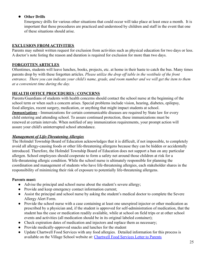#### ● **Other Drills**

Emergency drills for various other situations that could occur will take place at least once a month. It is important that these procedures are practiced and understood by children and staff in the event that one of these situations should arise.

#### **EXCLUSION FROM ACTIVITIES**

Parents may submit written request for exclusion from activities such as physical education for two days or less. A doctor's note listing the reason and duration is required for exclusion for more than two days.

#### **FORGOTTEN ARTICLES**

Oftentimes, students will leave lunches, books, projects, etc. at home in their haste to catch the bus. Many times parents drop by with these forgotten articles. *Please utilize the drop off table in the vestibule of the front entrance. There you can indicate your child's name, grade, and room number and we will get the item to them at a convenient time during the day.*

#### **HEALTH OFFICE PROCEDURES / CONCERNS**

Parents/Guardians of students with health concerns should contact the school nurse at the beginning of the school term or when such a concern arises. Special problems include vision, hearing, diabetes, epilepsy, food allergies, recent surgery, medication, or anything that might impact students at school. *Immunizations* - Immunizations for certain communicable diseases are required by State law for every child entering and attending school. To assure continued protection, these immunizations must be renewed at certain intervals. When notified of any immunization requirements, your prompt action will assure your child's uninterrupted school attendance.

#### *Management of Life-Threatening Allergies*

The Holmdel Township Board of Education acknowledges that it is difficult, if not impossible, to completely avoid all allergy-causing foods or other life-threatening allergens because they can be hidden or accidentally introduced. Therefore, the Holmdel Township Board of Education does not support a ban on any particular allergen. School employees should cooperate to form a safety net around those children at risk for a life-threatening allergic condition. While the school nurse is ultimately responsible for planning the coordination and management of students who have life-threatening allergies, each stakeholder shares in the responsibility of minimizing their risk of exposure to potentially life-threatening allergens.

#### **Parents must:**

- Advise the principal and school nurse about the student's severe allergy;
- Provide and keep emergency contact information current;
- Assist the principal and school nurse by asking the student's medical doctor to complete the Severe Allergy Alert Form.
- Provide the school nurse with a case containing at least one unexpired injector or other medication as prescribed by a physician and, if the student is approved for self-administration of medication, that the student has the case or medication readily available, while at school on field trips or at other school events and activities (all medication should be in its original labeled container);
- Check expiration dates of medication and injectors and replace them as necessary;
- Provide medically-approved snacks and lunches for the student
- Update Chartwell Food Services with any food allergies. Detailed information for this process is available on the Village School website at: Chartwell [Food Services Letter to Parents](http://www.holmdelschools.org/food_services/pdf/food_service_info_letter_apr16.pdf)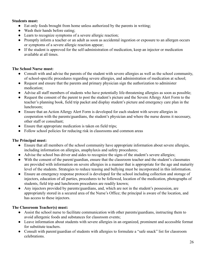#### **Students must:**

- Eat only foods brought from home unless authorized by the parents in writing;
- Wash their hands before eating;
- Learn to recognize symptoms of a severe allergic reaction;
- Promptly inform a teacher or an adult as soon as accidental ingestion or exposure to an allergen occurs or symptoms of a severe allergic reaction appear;
- If the student is approved for the self-administration of medication, keep an injector or medication available at all times.

#### **The School Nurse must:**

- Consult with and advise the parents of the student with severe allergies as well as the school community, of school-specific procedures regarding severe allergies, and administration of medication at school;
- Request and ensure that the parents and primary physician sign the authorization to administer medication;
- Advise all staff members of students who have potentially life-threatening allergies as soon as possible;
- Request the consent of the parent to post the student's picture and the Severe Allergy Alert Form to the teacher's planning book, field trip packet and display student's picture and emergency care plan in the lunchroom;
- Ensure that an Action Allergy Alert Form is developed for each student with severe allergies in cooperation with the parents/guardians, the student's physician and where the nurse deems it necessary, other staff or consultant;
- Ensure that appropriate medication is taken on field trips;
- Follow school policies for reducing risk in classrooms and common areas

#### **The Principal must:**

- Ensure that all members of the school community have appropriate information about severe allergies, including information on allergies, anaphylaxis and safety procedures;
- Advise the school bus driver and aides to recognize the signs of the student's severe allergies;
- With the consent of the parent/guardian, ensure that the classroom teacher and the student's classmates are provided with information on severe allergies in a manner that is appropriate for the age and maturity level of the students. Strategies to reduce teasing and bullying must be incorporated in this information.
- Ensure an emergency response protocol is developed for the school including collection and storage of injectors, education of all parties, procedures to be followed, location of the medication, photographs of students, field trip and lunchroom procedures are readily known;
- Any injectors provided by parents/guardians, and, which are not in the student's possession, are appropriately stored in a secured area of the Nurse's Office; the principal is aware of the location, and has access to these injectors.

#### **The Classroom Teacher(s) must:**

- Assist the school nurse to facilitate communication with other parents/guardians, instructing them to avoid allergenic foods and substances for classroom events;
- Leave information about students with severe allergies in an organized, prominent and accessible format for substitute teachers.
- Consult with parent/guardian of students with allergies to formulate a "safe snack" list for classroom celebrations.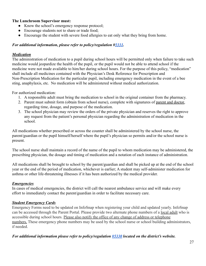#### **The Lunchroom Supervisor must:**

- Know the school's emergency response protocol;
- Encourage students not to share or trade food;
- Encourage the student with severe food allergies to eat only what they bring from home.

#### *For additional information, please refer to policy/regulation #[5331](https://www.straussesmay.com/seportal/Public/DistrictPolicy.aspx?policyid=5331&id=db979825af1b42e381d05b7cebdb5212).*

#### *Medication*

The administration of medication to a pupil during school hours will be permitted only when failure to take such medicine would jeopardize the health of the pupil, or the pupil would not be able to attend school if the medicine were not made available to him/her during school hours. For the purpose of this policy, "medication" shall include all medicines contained with the Physician's Desk Reference for Prescription and Non-Prescription Medication for the particular pupil, including emergency medication in the event of a bee sting, anaphylaxis, etc. No medication will be administered without medical authorization.

For authorized medication:

- 1. A responsible adult must bring the medication to school in the original container from the pharmacy.
- 2. Parent must submit form (obtain from school nurse), complete with signatures of parent and doctor, regarding time, dosage, and purpose of the medication.
- 3. The school physician may review the orders of the private physician and reserves the right to approve any request from the patient's personal physician regarding the administration of medication in the school.

All medications whether prescribed or across the counter shall be administered by the school nurse, the parent/guardian or the pupil himself/herself where the pupil's physician so permits and/or the school nurse is present.

The school nurse shall maintain a record of the name of the pupil to whom medication may be administered, the prescribing physician, the dosage and timing of medication and a notation of each instance of administration.

All medications shall be brought to school by the parent/guardian and shall be picked up at the end of the school year or the end of the period of medication, whichever is earlier; A student may self-administer medication for asthma or other life-threatening illnesses if it has been authorized by the medical provider.

#### *Emergencies*

In cases of medical emergencies, the district will call the nearest ambulance service and will make every effort to immediately contact the parent/guardian in order to facilitate necessary care.

#### *Student Emergency Cards*

Emergency Forms need to be updated on InfoSnap when registering your child and updated yearly. InfoSnap can be accessed through the Parent Portal. Please provide two alternate phone numbers of a local adult who is accessible during school hours. Please also notify the office of any change of address or telephone numbers. These emergency phone numbers may be used by the school nurse or school building administrators, if needed.

#### *For additional information please refer to policy/regulation [#5330](https://www.straussesmay.com/seportal/Public/DistrictPolicy.aspx?policyid=5331&id=db979825af1b42e381d05b7cebdb5212) located on the district's website.*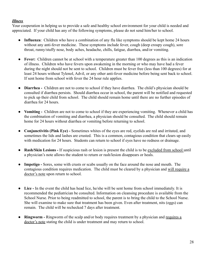#### *Illness*

Your cooperation in helping us to provide a safe and healthy school environment for your child is needed and appreciated. If your child has any of the following symptoms, please do not send him/her to school.

- **Influenza**: Children who have a combination of any flu like symptoms should be kept home 24 hours without any anti-fever medicine. These symptoms include fever, cough (deep croupy cough), sore throat, runny/stuffy nose, body aches, headache, chills, fatigue, diarrhea, and/or vomiting.
- **Fever:** Children cannot be at school with a temperature greater than 100 degrees as this is an indication of illness. Children who have fevers upon awakening in the morning or who may have had a fever during the night should not be sent to school. Children must be fever free (less than 100 degrees) for at least 24 hours without Tylenol, Advil, or any other anti-fever medicine before being sent back to school. If sent home from school with fever the 24 hour rule applies.
- **Diarrhea -** Children are not to come to school if they have diarrhea. The child's physician should be consulted if diarrhea persists. Should diarrhea occur in school, the parent will be notified and requested to pick up their child from school. The child should remain home until there are no further episodes of diarrhea for 24 hours.
- **Vomiting -** Children are not to come to school if they are experiencing vomiting. Whenever a child has the combination of vomiting and diarrhea, a physician should be consulted. The child should remain home for 24 hours without diarrhea or vomiting before returning to school.
- **Conjunctivitis (Pink Eye) -** Sometimes whites of the eyes are red, eyelids are red and irritated, and sometimes the lids and lashes are crusted. This is a common, contagious condition that clears up easily with medication for 24 hours. Students can return to school if eyes have no redness or drainage.
- **Rash/Skin Lesions -** If suspicious rash or lesion is present the child is to be excluded from school until a physician's note allows the student to return or rash/lesion disappears or heals.
- **Impetigo -** Sores, some with crusts or scabs usually on the face around the nose and mouth. The contagious condition requires medication. The child must be cleared by a physician and will require a doctor's note upon return to school.
- **Lice -** In the event the child has head lice, he/she will be sent home from school immediately. It is recommended the pediatrician be consulted. Information on cleansing procedure is available from the School Nurse. Prior to being readmitted to school, the parent is to bring the child to the School Nurse. She will examine to make sure that treatment has been given. Even after treatment, nits (eggs) can remain. The child will be rechecked 7 days after treatment.
- **Ringworm -** Ringworm of the scalp and/or body requires treatment by a physician and requires a doctor's note stating the child is under treatment and may return to school.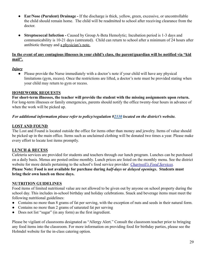- **● Ear/Nose (Purulent) Drainage -** If the discharge is thick, yellow, green, excessive, or uncontrollable the child should remain home. The child will be readmitted to school after receiving clearance from the doctor.
- **● Streptococcal Infection -** Caused by Group A-Beta Hemolytic; Incubation period is 1-3 days and communicability is 10-21 days (untreated). Child can return to school after a minimum of 24 hours after antibiotic therapy and a physician's note.

#### **In the event of any contagious illnesses in your child's class, the parent/guardian will be notified via "kid mail".**

#### *Injury*

• Please provide the Nurse immediately with a doctor's note if your child will have any physical limitations (gym, recess). Once the restrictions are lifted, a doctor's note must be provided stating when your child may return to gym or recess.

#### **HOMEWORK REQUESTS**

**For short-term illnesses, the teacher will provide the student with the missing assignments upon return.** For long-term illnesses or family emergencies, parents should notify the office twenty-four hours in advance of when the work will be picked up.

#### *For additional information please refer to policy/regulation #[2330](https://www.straussesmay.com/seportal/Public/DistrictPolicy.aspx?policyid=2230&id=db979825af1b42e381d05b7cebdb5212) located on the district's website.*

#### **LOST AND FOUND**

The Lost and Found is located outside the office for items other than money and jewelry. Items of value should be picked up in the main office. Items such as unclaimed clothing will be donated two times a year. Please make every effort to locate lost items promptly.

#### **LUNCH & RECESS**

Cafeteria services are provided for students and teachers through our lunch program. Lunches can be purchased on a daily basis. Menus are posted online monthly. Lunch prices are listed on the monthly menu. See the district website for more details pertaining to the school's food service provider: *[Chartwell's Food Services](http://www.holmdelschools.org/food_services/food_services.shtm).* **Please Note: Food is not available for purchase during** *half-days* **or** *delayed openings***. Students must bring their own lunch on these days.**

#### **NUTRITION GUIDELINES**

Food items of limited nutritional value are not allowed to be given out by anyone on school property during the school day. This includes in-school birthday and holiday celebrations. Snack and beverage items must meet the following nutritional guidelines:

- Contains no more than 8 grams of fat per serving, with the exception of nuts and seeds in their natural form.
- Contains no more than 2 grams of saturated fat per serving
- Does not list "sugar" (in any form) as the first ingredient.

Please be vigilant of classrooms designated as "Allergy Alert." Consult the classroom teacher prior to bringing any food items into the classroom. For more information on providing food for birthday parties, please see the Holmdel website for the in-class catering option.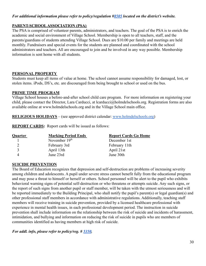#### *For additional information please refer to policy/regulation #[8505](https://www.straussesmay.com/seportal/Public/DistrictPolicy.aspx?policyid=8505&id=db979825af1b42e381d05b7cebdb5212) located on the district's website.*

#### **PARENT-SCHOOLASSOCIATION (PSA)**

The PSA is comprised of volunteer parents, administrators, and teachers. The goal of the PSA is to enrich the academic and social environment of Village School. Membership is open to all teachers, staff, and the parents/guardians of students attending Village School. Dues are \$10.00 per family and meetings are held monthly. Fundraisers and special events for the students are planned and coordinated with the school administrators and teachers. All are encouraged to join and be involved in any way possible. Membership information is sent home with all students.

#### **PERSONAL PROPERTY**

Students must keep all items of value at home. The school cannot assume responsibility for damaged, lost, or stolen items. iPods, DS's, etc. are discouraged from being brought to school or used on the bus.

#### **PRIME TIME PROGRAM**

Village School houses a before-and-after school child care program. For more information on registering your child, please contact the Director, Lara Carducci, at lcarducci@holmdelschools.org. Registration forms are also available online at www.holmdelschools.org and in the Village School main office.

**RELIGIOUS HOLIDAYS** – (see approved district calendar: [www.holmdelschools.org\)](https://www.holmdelschools.org/calendar)

**REPORT CARDS:** Report cards will be issued as follows:

| <b>Quarter</b> | <b>Marking Period Ends</b> | <b>Report Cards Go Home</b> |
|----------------|----------------------------|-----------------------------|
|                | November $19th$            | December 1st                |
|                | February 3rd               | February 11th               |
| $\mathbf{R}$   | April 13th                 | April 21st                  |
|                | June 23rd                  | June 30th                   |

#### **SUICIDE PREVENTION**

The Board of Education recognizes that depression and self-destruction are problems of increasing severity among children and adolescents. A pupil under severe stress cannot benefit fully from the educational program and may pose a threat to himself or herself or others. School personnel will be alert to the pupil who exhibits behavioral warning signs of potential self-destruction or who threatens or attempts suicide. Any such signs, or the report of such signs from another pupil or staff member, will be taken with the utmost seriousness and will be reported immediately to the Building Principal, who shall notify the pupil's parent(s) or legal guardian(s) and other professional staff members in accordance with administrative regulations. Additionally, teaching staff members will receive training in suicide prevention, provided by a licensed healthcare professional with experience in mental health issues, in each professional development period. The instruction in suicide prevention shall include information on the relationship between the risk of suicide and incidents of harassment, intimidation, and bullying and information on reducing the risk of suicide in pupils who are members of communities identified as having members at high risk of suicide.

*For addl. info, please refer to policy/reg. # [5350.](https://www.straussesmay.com/seportal/Public/DistrictPolicy.aspx?policyid=5350&id=db979825af1b42e381d05b7cebdb5212)*